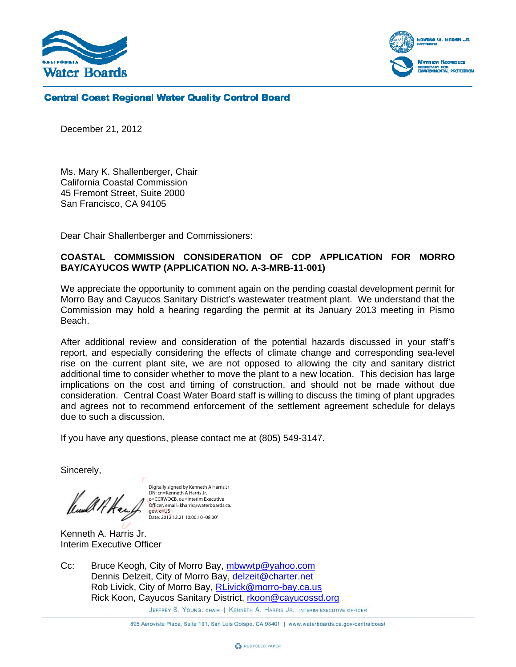



**Central Coast Regional Water Quality Control Board** 

December 21, 2012

Ms. Mary K. Shallenberger, Chair California Coastal Commission 45 Fremont Street, Suite 2000 San Francisco, CA 94105

Dear Chair Shallenberger and Commissioners:

## **COASTAL COMMISSION CONSIDERATION OF CDP APPLICATION FOR MORRO BAY/CAYUCOS WWTP (APPLICATION NO. A-3-MRB-11-001)**

We appreciate the opportunity to comment again on the pending coastal development permit for Morro Bay and Cayucos Sanitary District's wastewater treatment plant. We understand that the Commission may hold a hearing regarding the permit at its January 2013 meeting in Pismo Beach.

After additional review and consideration of the potential hazards discussed in your staff's report, and especially considering the effects of climate change and corresponding sea-level rise on the current plant site, we are not opposed to allowing the city and sanitary district additional time to consider whether to move the plant to a new location. This decision has large implications on the cost and timing of construction, and should not be made without due consideration. Central Coast Water Board staff is willing to discuss the timing of plant upgrades and agrees not to recommend enforcement of the settlement agreement schedule for delays due to such a discussion.

If you have any questions, please contact me at (805) 549-3147.

Sincerely,

Digitally signed by Kenneth A Harris Jr DN: cn=Kenneth A Harris Jr, o=CCRWQCB, ou=Interim Executive Officer, email=kharris@waterboards.ca. gov, c=US Date: 2012.12.21 10:00:10 -08'00'

Kenneth A. Harris Jr. Interim Executive Officer

Cc: Bruce Keogh, City of Morro Bay, mbwwtp@yahoo.com Dennis Delzeit, City of Morro Bay, delzeit@charter.net Rob Livick, City of Morro Bay, RLivick@morro-bay.ca.us Rick Koon, Cayucos Sanitary District, rkoon@cayucossd.org

JEFFREY S. YOUNG, CHAIR | KENNETH A. HARRIS JR., INTERIM EXECUTIVE OFFICER